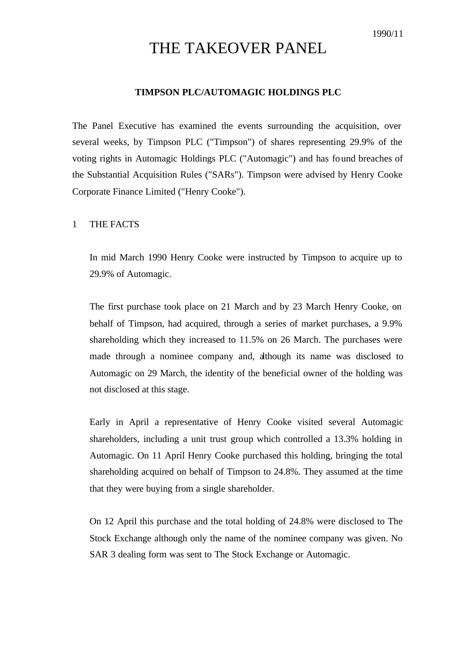# THE TAKEOVER PANEL

## **TIMPSON PLC/AUTOMAGIC HOLDINGS PLC**

The Panel Executive has examined the events surrounding the acquisition, over several weeks, by Timpson PLC ("Timpson") of shares representing 29.9% of the voting rights in Automagic Holdings PLC ("Automagic") and has found breaches of the Substantial Acquisition Rules ("SARs"). Timpson were advised by Henry Cooke Corporate Finance Limited ("Henry Cooke").

## 1 THE FACTS

In mid March 1990 Henry Cooke were instructed by Timpson to acquire up to 29.9% of Automagic.

The first purchase took place on 21 March and by 23 March Henry Cooke, on behalf of Timpson, had acquired, through a series of market purchases, a 9.9% shareholding which they increased to 11.5% on 26 March. The purchases were made through a nominee company and, although its name was disclosed to Automagic on 29 March, the identity of the beneficial owner of the holding was not disclosed at this stage.

Early in April a representative of Henry Cooke visited several Automagic shareholders, including a unit trust group which controlled a 13.3% holding in Automagic. On 11 April Henry Cooke purchased this holding, bringing the total shareholding acquired on behalf of Timpson to 24.8%. They assumed at the time that they were buying from a single shareholder.

On 12 April this purchase and the total holding of 24.8% were disclosed to The Stock Exchange although only the name of the nominee company was given. No SAR 3 dealing form was sent to The Stock Exchange or Automagic.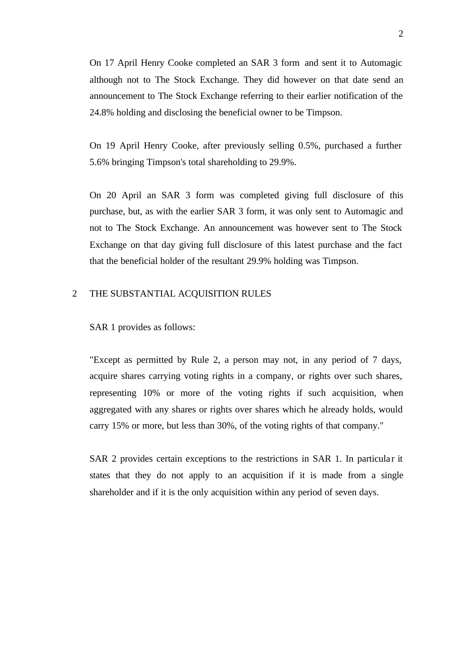On 17 April Henry Cooke completed an SAR 3 form and sent it to Automagic although not to The Stock Exchange. They did however on that date send an announcement to The Stock Exchange referring to their earlier notification of the 24.8% holding and disclosing the beneficial owner to be Timpson.

On 19 April Henry Cooke, after previously selling 0.5%, purchased a further 5.6% bringing Timpson's total shareholding to 29.9%.

On 20 April an SAR 3 form was completed giving full disclosure of this purchase, but, as with the earlier SAR 3 form, it was only sent to Automagic and not to The Stock Exchange. An announcement was however sent to The Stock Exchange on that day giving full disclosure of this latest purchase and the fact that the beneficial holder of the resultant 29.9% holding was Timpson.

### 2 THE SUBSTANTIAL ACQUISITION RULES

SAR 1 provides as follows:

"Except as permitted by Rule 2, a person may not, in any period of 7 days, acquire shares carrying voting rights in a company, or rights over such shares, representing 10% or more of the voting rights if such acquisition, when aggregated with any shares or rights over shares which he already holds, would carry 15% or more, but less than 30%, of the voting rights of that company."

SAR 2 provides certain exceptions to the restrictions in SAR 1. In particular it states that they do not apply to an acquisition if it is made from a single shareholder and if it is the only acquisition within any period of seven days.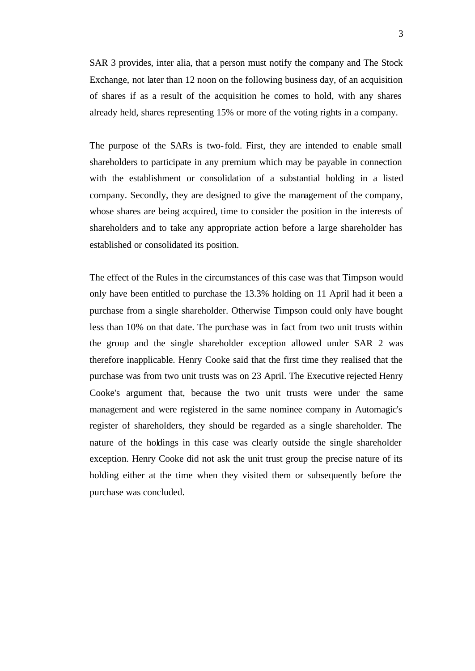SAR 3 provides, inter alia, that a person must notify the company and The Stock Exchange, not later than 12 noon on the following business day, of an acquisition of shares if as a result of the acquisition he comes to hold, with any shares already held, shares representing 15% or more of the voting rights in a company.

The purpose of the SARs is two-fold. First, they are intended to enable small shareholders to participate in any premium which may be payable in connection with the establishment or consolidation of a substantial holding in a listed company. Secondly, they are designed to give the management of the company, whose shares are being acquired, time to consider the position in the interests of shareholders and to take any appropriate action before a large shareholder has established or consolidated its position.

The effect of the Rules in the circumstances of this case was that Timpson would only have been entitled to purchase the 13.3% holding on 11 April had it been a purchase from a single shareholder. Otherwise Timpson could only have bought less than 10% on that date. The purchase was in fact from two unit trusts within the group and the single shareholder exception allowed under SAR 2 was therefore inapplicable. Henry Cooke said that the first time they realised that the purchase was from two unit trusts was on 23 April. The Executive rejected Henry Cooke's argument that, because the two unit trusts were under the same management and were registered in the same nominee company in Automagic's register of shareholders, they should be regarded as a single shareholder. The nature of the holdings in this case was clearly outside the single shareholder exception. Henry Cooke did not ask the unit trust group the precise nature of its holding either at the time when they visited them or subsequently before the purchase was concluded.